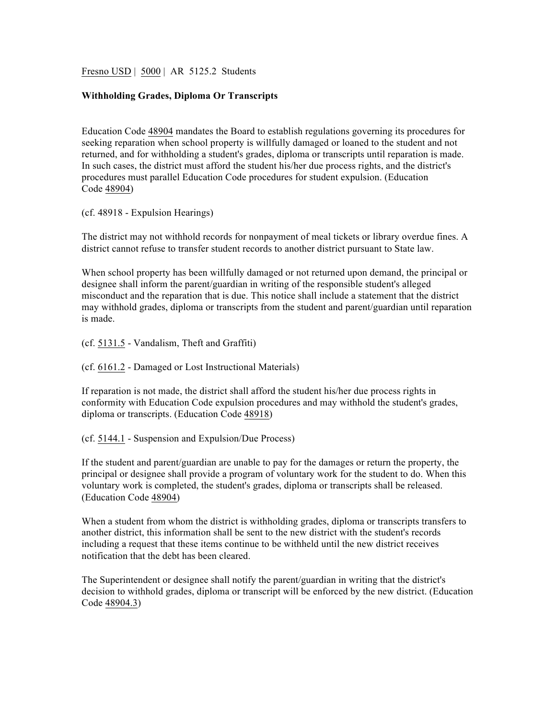Fresno USD | 5000 | AR 5125.2 Students

## **Withholding Grades, Diploma Or Transcripts**

Education Code 48904 mandates the Board to establish regulations governing its procedures for seeking reparation when school property is willfully damaged or loaned to the student and not returned, and for withholding a student's grades, diploma or transcripts until reparation is made. In such cases, the district must afford the student his/her due process rights, and the district's procedures must parallel Education Code procedures for student expulsion. (Education Code 48904)

(cf. 48918 - Expulsion Hearings)

The district may not withhold records for nonpayment of meal tickets or library overdue fines. A district cannot refuse to transfer student records to another district pursuant to State law.

When school property has been willfully damaged or not returned upon demand, the principal or designee shall inform the parent/guardian in writing of the responsible student's alleged misconduct and the reparation that is due. This notice shall include a statement that the district may withhold grades, diploma or transcripts from the student and parent/guardian until reparation is made.

(cf. 5131.5 - Vandalism, Theft and Graffiti)

(cf. 6161.2 - Damaged or Lost Instructional Materials)

If reparation is not made, the district shall afford the student his/her due process rights in conformity with Education Code expulsion procedures and may withhold the student's grades, diploma or transcripts. (Education Code 48918)

(cf. 5144.1 - Suspension and Expulsion/Due Process)

If the student and parent/guardian are unable to pay for the damages or return the property, the principal or designee shall provide a program of voluntary work for the student to do. When this voluntary work is completed, the student's grades, diploma or transcripts shall be released. (Education Code 48904)

When a student from whom the district is withholding grades, diploma or transcripts transfers to another district, this information shall be sent to the new district with the student's records including a request that these items continue to be withheld until the new district receives notification that the debt has been cleared.

The Superintendent or designee shall notify the parent/guardian in writing that the district's decision to withhold grades, diploma or transcript will be enforced by the new district. (Education Code 48904.3)